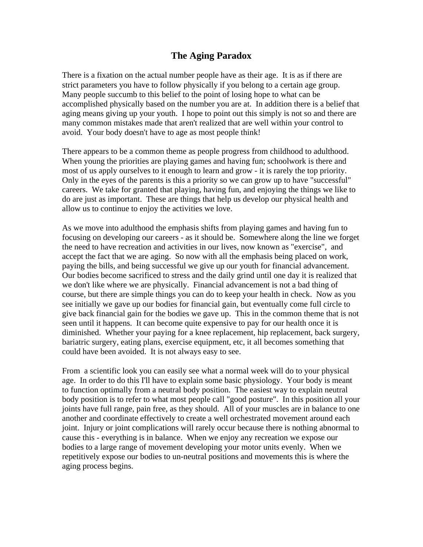## **The Aging Paradox**

There is a fixation on the actual number people have as their age. It is as if there are strict parameters you have to follow physically if you belong to a certain age group. Many people succumb to this belief to the point of losing hope to what can be accomplished physically based on the number you are at. In addition there is a belief that aging means giving up your youth. I hope to point out this simply is not so and there are many common mistakes made that aren't realized that are well within your control to avoid. Your body doesn't have to age as most people think!

There appears to be a common theme as people progress from childhood to adulthood. When young the priorities are playing games and having fun; schoolwork is there and most of us apply ourselves to it enough to learn and grow - it is rarely the top priority. Only in the eyes of the parents is this a priority so we can grow up to have "successful" careers. We take for granted that playing, having fun, and enjoying the things we like to do are just as important. These are things that help us develop our physical health and allow us to continue to enjoy the activities we love.

As we move into adulthood the emphasis shifts from playing games and having fun to focusing on developing our careers - as it should be. Somewhere along the line we forget the need to have recreation and activities in our lives, now known as "exercise", and accept the fact that we are aging. So now with all the emphasis being placed on work, paying the bills, and being successful we give up our youth for financial advancement. Our bodies become sacrificed to stress and the daily grind until one day it is realized that we don't like where we are physically. Financial advancement is not a bad thing of course, but there are simple things you can do to keep your health in check. Now as you see initially we gave up our bodies for financial gain, but eventually come full circle to give back financial gain for the bodies we gave up. This in the common theme that is not seen until it happens. It can become quite expensive to pay for our health once it is diminished. Whether your paying for a knee replacement, hip replacement, back surgery, bariatric surgery, eating plans, exercise equipment, etc, it all becomes something that could have been avoided. It is not always easy to see.

From a scientific look you can easily see what a normal week will do to your physical age. In order to do this I'll have to explain some basic physiology. Your body is meant to function optimally from a neutral body position. The easiest way to explain neutral body position is to refer to what most people call "good posture". In this position all your joints have full range, pain free, as they should. All of your muscles are in balance to one another and coordinate effectively to create a well orchestrated movement around each joint. Injury or joint complications will rarely occur because there is nothing abnormal to cause this - everything is in balance. When we enjoy any recreation we expose our bodies to a large range of movement developing your motor units evenly. When we repetitively expose our bodies to un-neutral positions and movements this is where the aging process begins.